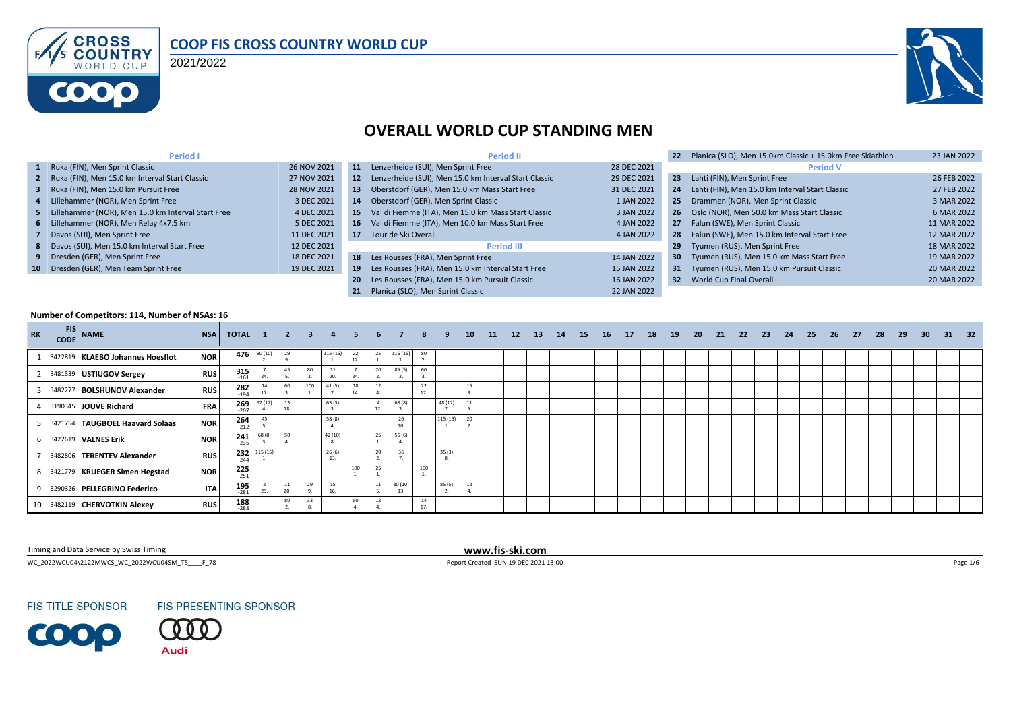

#### **COOP FIS CROSS COUNTRY WORLD CUP**

2021/2022



# **OVERALL WORLD CUP STANDING MEN**

| Period I                                             |             |     | <b>Period II</b>                                         |             | 22 <sub>2</sub> | Planica (SLO), Men 15.0km Classic + 15.0km Free Skiathlon | 23 JAN 2022 |
|------------------------------------------------------|-------------|-----|----------------------------------------------------------|-------------|-----------------|-----------------------------------------------------------|-------------|
| 1 Ruka (FIN), Men Sprint Classic                     | 26 NOV 2021 | 11  | Lenzerheide (SUI), Men Sprint Free                       | 28 DEC 2021 |                 | <b>Period V</b>                                           |             |
| 2 Ruka (FIN), Men 15.0 km Interval Start Classic     | 27 NOV 2021 |     | 12 Lenzerheide (SUI), Men 15.0 km Interval Start Classic | 29 DEC 2021 | 23 <sub>2</sub> | Lahti (FIN), Men Sprint Free                              | 26 FEB 2022 |
| 3 Ruka (FIN), Men 15.0 km Pursuit Free               | 28 NOV 2021 | 13. | Oberstdorf (GER), Men 15.0 km Mass Start Free            | 31 DEC 2021 | 24              | Lahti (FIN), Men 15.0 km Interval Start Classic           | 27 FEB 2022 |
| 4 Lillehammer (NOR), Men Sprint Free                 | 3 DEC 2021  | 14  | Oberstdorf (GER), Men Sprint Classic                     | 1 JAN 2022  |                 | 25 Drammen (NOR), Men Sprint Classic                      | 3 MAR 2022  |
| 5 Lillehammer (NOR), Men 15.0 km Interval Start Free | 4 DEC 2021  | 15  | Val di Fiemme (ITA), Men 15.0 km Mass Start Classic      | 3 JAN 2022  |                 | 26 Oslo (NOR), Men 50.0 km Mass Start Classic             | 6 MAR 2022  |
| 6 Lillehammer (NOR), Men Relay 4x7.5 km              | 5 DEC 2021  | 16  | Val di Fiemme (ITA), Men 10.0 km Mass Start Free         | 4 JAN 2022  |                 | 27 Falun (SWE), Men Sprint Classic                        | 11 MAR 2022 |
| 7 Davos (SUI), Men Sprint Free                       | 11 DEC 2021 |     | 17 Tour de Ski Overall                                   | 4 JAN 2022  |                 | 28 Falun (SWE), Men 15.0 km Interval Start Free           | 12 MAR 2022 |
| 8 Davos (SUI), Men 15.0 km Interval Start Free       | 12 DEC 2021 |     | <b>Period III</b>                                        |             | 29              | Tyumen (RUS), Men Sprint Free                             | 18 MAR 2022 |
| 9 Dresden (GER), Men Sprint Free                     | 18 DEC 2021 | 18  | Les Rousses (FRA), Men Sprint Free                       | 14 JAN 2022 | 30 <sup>2</sup> | Tyumen (RUS), Men 15.0 km Mass Start Free                 | 19 MAR 2022 |
| 10 Dresden (GER), Men Team Sprint Free               | 19 DEC 2021 | 19  | Les Rousses (FRA), Men 15.0 km Interval Start Free       | 15 JAN 2022 |                 | 31 Tyumen (RUS), Men 15.0 km Pursuit Classic              | 20 MAR 2022 |
|                                                      |             | 20  | Les Rousses (FRA), Men 15.0 km Pursuit Classic           | 16 JAN 2022 |                 | <b>32</b> World Cup Final Overall                         | 20 MAR 2022 |
|                                                      |             | 21  | Planica (SLO). Men Sprint Classic                        | 22 JAN 2022 |                 |                                                           |             |

#### **Number of Competitors: 114, Number of NSAs: 16**

| <b>RK</b>       | <b>FIS</b><br><b>CODE</b> | <b>NAME</b>                       | <b>NSA</b> | <b>TOTAL 1 2 3</b>   |          |           |     | 4            | -5.       | 6.  |          | 8         | 9        | 10 | 11 | 12 | <b>13</b> | 14 | <b>15</b> | <b>16</b> | 17 | 18 | 19 | 20 | 21 | -22 | 23 | 24 | 25 | 26 | -27 | -28 | 29 | 30 <sup>°</sup> | - 31 | 32 |
|-----------------|---------------------------|-----------------------------------|------------|----------------------|----------|-----------|-----|--------------|-----------|-----|----------|-----------|----------|----|----|----|-----------|----|-----------|-----------|----|----|----|----|----|-----|----|----|----|----|-----|-----|----|-----------------|------|----|
|                 |                           | 3422819 KLAEBO Johannes Hoesflot  | <b>NOR</b> | 476                  | 90(10)   | 29        |     | 115 (15      | 22<br>12. | 25  | 115 (15) | 80        |          |    |    |    |           |    |           |           |    |    |    |    |    |     |    |    |    |    |     |     |    |                 |      |    |
|                 |                           | 3481539 USTIUGOV Sergey           | <b>RUS</b> | $315$ <sub>161</sub> | 24.      | 45        | 80  | 11<br>20.    | 24.       | 20  | 85 (5)   | 60        |          |    |    |    |           |    |           |           |    |    |    |    |    |     |    |    |    |    |     |     |    |                 |      |    |
|                 |                           | 3482277 BOLSHUNOV Alexander       | <b>RUS</b> | $282$<br>$-194$      | 17.      | 60        | 100 | 41(5)        | 18<br>14. | 12  |          | 22<br>12. |          | 15 |    |    |           |    |           |           |    |    |    |    |    |     |    |    |    |    |     |     |    |                 |      |    |
|                 |                           | 3190345 JOUVE Richard             | <b>FRA</b> | $269$<br>-207        | 62(12)   | 13<br>18. |     | 63(3)        |           | 12. | 68 (8)   |           | 48 (12)  | 11 |    |    |           |    |           |           |    |    |    |    |    |     |    |    |    |    |     |     |    |                 |      |    |
|                 |                           | 3421754   TAUGBOEL Haavard Solaas | <b>NOR</b> | $264$<br>$-212$      | 45       |           |     | 58 (8)       |           |     | 26       |           | 115 (15) | 20 |    |    |           |    |           |           |    |    |    |    |    |     |    |    |    |    |     |     |    |                 |      |    |
|                 |                           | 3422619 VALNES Erik               | <b>NOR</b> | $241$<br>$-235$      | 68(8)    | 50        |     | 42 (10)      |           | 25  | 56 (6)   |           |          |    |    |    |           |    |           |           |    |    |    |    |    |     |    |    |    |    |     |     |    |                 |      |    |
|                 |                           | 3482806 TERENTEV Alexander        | <b>RUS</b> | $232$<br>$244$       | 115 (15) |           |     | 26(6)<br>13. |           | 20  | 36       |           | 35(3)    |    |    |    |           |    |           |           |    |    |    |    |    |     |    |    |    |    |     |     |    |                 |      |    |
|                 |                           | 3421779 KRUEGER Simen Hegstad     | <b>NOR</b> | $225$<br>$-251$      |          |           |     |              | 100       | 25  |          | 100       |          |    |    |    |           |    |           |           |    |    |    |    |    |     |    |    |    |    |     |     |    |                 |      |    |
|                 |                           | 3290326 PELLEGRINO Federico       | <b>ITA</b> | $195$<br>$-281$      | 29.      | 11<br>20. | 29  | 15<br>16.    |           | 11  | 30(10)   |           | 85(5)    | 12 |    |    |           |    |           |           |    |    |    |    |    |     |    |    |    |    |     |     |    |                 |      |    |
| 10 <sup>1</sup> |                           | 3482119 CHERVOTKIN Alexey         | <b>RUS</b> | 188<br>$-288$        |          | 80        | 32  |              | 50        | 12  |          | 14<br>17. |          |    |    |    |           |    |           |           |    |    |    |    |    |     |    |    |    |    |     |     |    |                 |      |    |

Timing and Data Service by Swiss Timing **www.fis-ski.com**

WC\_2022WCU04\2122MWCS\_WC\_2022WCU04SM\_TS\_\_\_\_F\_78 <br>
Report Created SUN 19 DEC 2021 13:00

**FIS TITLE SPONSOR** 



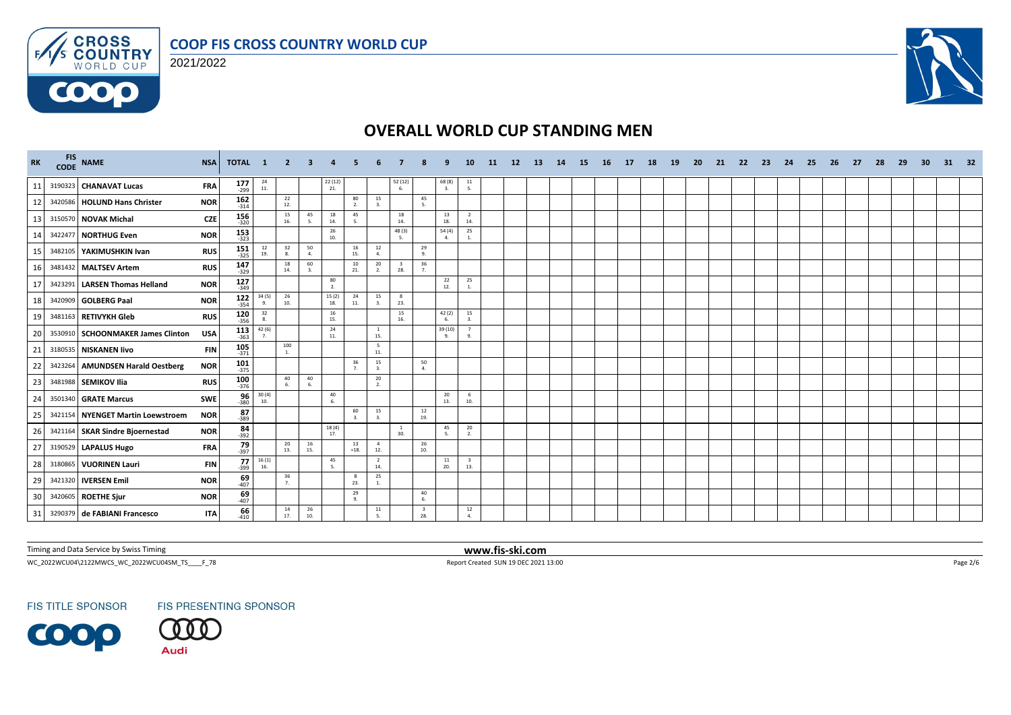



 $F/1/s$ 

**COOO** 



# **OVERALL WORLD CUP STANDING MEN**

| <b>RK</b> | FIS NAME                          | <b>NSA</b> | <b>TOTAL</b>          | $\blacksquare$                           | -2                    |           |                                                 |                      |                       |                                |                                |                           | 10                             | -11- | <b>12</b> | <b>13</b> | -14 | -15 | - 16 | - 17 | 18 | <b>19</b> | -20 | -21 | -22 | -23 | -24 | -25 | -26 | -27 | -28 | -29 | -30 | 31 | 32 |
|-----------|-----------------------------------|------------|-----------------------|------------------------------------------|-----------------------|-----------|-------------------------------------------------|----------------------|-----------------------|--------------------------------|--------------------------------|---------------------------|--------------------------------|------|-----------|-----------|-----|-----|------|------|----|-----------|-----|-----|-----|-----|-----|-----|-----|-----|-----|-----|-----|----|----|
| 11        | 3190323 CHANAVAT Lucas            | <b>FRA</b> | $177$ <sub>-299</sub> | $\begin{array}{c} 24 \\ 11. \end{array}$ |                       |           | $\begin{array}{c} 22 \ (12) \\ 21. \end{array}$ |                      |                       | 52 (12)<br>6.                  |                                | 68(8)<br>$\overline{3}$ . | $\frac{11}{5}$                 |      |           |           |     |     |      |      |    |           |     |     |     |     |     |     |     |     |     |     |     |    |    |
| 12        | 3420586 HOLUND Hans Christer      | <b>NOR</b> | 162<br>$-314$         |                                          | 22<br>12.             |           |                                                 | 80<br>2.             | 15<br>3.              |                                | 45<br>5.                       |                           |                                |      |           |           |     |     |      |      |    |           |     |     |     |     |     |     |     |     |     |     |     |    |    |
| 13        | 3150570 NOVAK Michal              | <b>CZE</b> | $156$ 320             |                                          | 15<br>16.             | 45        | 18<br>14.                                       | 45                   |                       | 18<br>14.                      |                                | 13<br>18.                 | $\overline{2}$<br>14.          |      |           |           |     |     |      |      |    |           |     |     |     |     |     |     |     |     |     |     |     |    |    |
| 14        | 3422477 NORTHUG Even              | <b>NOR</b> | $153$ <sub>323</sub>  |                                          |                       |           | 26<br>10.                                       |                      |                       | 48(3)<br>-5.                   |                                | 54(4)<br>4.               | 25<br>1.                       |      |           |           |     |     |      |      |    |           |     |     |     |     |     |     |     |     |     |     |     |    |    |
| 15        | 3482105 YAKIMUSHKIN Ivan          | <b>RUS</b> | 151<br>$-325$         | 12<br>19.                                | 32<br>8.              | 50<br>4.  |                                                 | 16<br>15.            | 12<br>4.              |                                | 29<br>9.                       |                           |                                |      |           |           |     |     |      |      |    |           |     |     |     |     |     |     |     |     |     |     |     |    |    |
| 16        | 3481432 MALTSEV Artem             | <b>RUS</b> | $147$ <sub>329</sub>  |                                          | 18<br>14.             | 60<br>3.  |                                                 | 10<br>21.            | 20<br>2.              | $\overline{\mathbf{3}}$<br>28. | 36<br>7.                       |                           |                                |      |           |           |     |     |      |      |    |           |     |     |     |     |     |     |     |     |     |     |     |    |    |
| 17        | 3423291 LARSEN Thomas Helland     | <b>NOR</b> | $127$ <sub>349</sub>  |                                          |                       |           | $\begin{array}{c} 80 \\ 2. \end{array}$         |                      |                       |                                |                                | 22<br>12.                 | 25<br>1.                       |      |           |           |     |     |      |      |    |           |     |     |     |     |     |     |     |     |     |     |     |    |    |
| 18        | 3420909 GOLBERG Paal              | <b>NOR</b> | $122$<br>$354$        | 34 (5)<br>9.                             | 26<br>10.             |           | 15(2)<br>18.                                    | 24<br>11.            | 15<br>3.              | 23.                            |                                |                           |                                |      |           |           |     |     |      |      |    |           |     |     |     |     |     |     |     |     |     |     |     |    |    |
| 19        | 3481163 RETIVYKH Gleb             | <b>RUS</b> | $120\n356$            | 32<br>-8.                                |                       |           | 16<br>15.                                       |                      |                       | 15<br>16.                      |                                | 42(2)<br>6                | 15<br>$\overline{a}$           |      |           |           |     |     |      |      |    |           |     |     |     |     |     |     |     |     |     |     |     |    |    |
| 20        | 3530910 SCHOONMAKER James Clinton | <b>USA</b> | $113$<br>363          | $\frac{42}{7}$ (6)                       |                       |           | 24<br>11.                                       |                      | <sup>1</sup><br>15.   |                                |                                | 39 (10)<br>9.             | $\overline{7}$<br>9.           |      |           |           |     |     |      |      |    |           |     |     |     |     |     |     |     |     |     |     |     |    |    |
| 21        | 3180535 NISKANEN livo             | <b>FIN</b> | $\frac{105}{371}$     |                                          | 100<br>$\mathbf{1}$ . |           |                                                 |                      | 5<br>11.              |                                |                                |                           |                                |      |           |           |     |     |      |      |    |           |     |     |     |     |     |     |     |     |     |     |     |    |    |
| 22        | 3423264 AMUNDSEN Harald Oestberg  | <b>NOR</b> | 101<br>$-375$         |                                          |                       |           |                                                 | 36<br>$\overline{7}$ | 15<br>$\mathbf{3}$    |                                | 50<br>4.                       |                           |                                |      |           |           |     |     |      |      |    |           |     |     |     |     |     |     |     |     |     |     |     |    |    |
| 23        | 3481988 SEMIKOV Ilia              | <b>RUS</b> | 100<br>$-376$         |                                          | 40<br>6.              | 40<br>6.  |                                                 |                      | 20<br>2.              |                                |                                |                           |                                |      |           |           |     |     |      |      |    |           |     |     |     |     |     |     |     |     |     |     |     |    |    |
| 24        | 3501340 GRATE Marcus              | <b>SWE</b> | $\frac{96}{380}$      | 30(4)<br>10.                             |                       |           | 40<br>6.                                        |                      |                       |                                |                                | 20<br>13.                 | - 6<br>10.                     |      |           |           |     |     |      |      |    |           |     |     |     |     |     |     |     |     |     |     |     |    |    |
| 25        | 3421154 NYENGET Martin Loewstroem | <b>NOR</b> | 87<br>$-389$          |                                          |                       |           |                                                 | 60<br>$\mathbf{a}$   | 15<br>$\mathbf{3}$    |                                | 12<br>19.                      |                           |                                |      |           |           |     |     |      |      |    |           |     |     |     |     |     |     |     |     |     |     |     |    |    |
| 26        | 3421164 SKAR Sindre Bjoernestad   | <b>NOR</b> | $84 - 392$            |                                          |                       |           | $\frac{18(4)}{17}$                              |                      |                       | 30.                            |                                | 45<br>5.                  | 20<br>2.                       |      |           |           |     |     |      |      |    |           |     |     |     |     |     |     |     |     |     |     |     |    |    |
| 27        | 3190529 LAPALUS Hugo              | <b>FRA</b> | $79 - 397$            |                                          | 20<br>13.             | 16<br>15. |                                                 | 13<br>$=18.$         | $\overline{4}$<br>12. |                                | 26<br>10.                      |                           |                                |      |           |           |     |     |      |      |    |           |     |     |     |     |     |     |     |     |     |     |     |    |    |
| 28        | 3180865 VUORINEN Lauri            | FIN        | 77<br>$-399$          | $\frac{16(1)}{16}$                       |                       |           | 45<br>$\overline{\phantom{a}}$                  |                      | $\overline{2}$<br>14. |                                |                                | 11<br>20.                 | $\overline{\mathbf{3}}$<br>13. |      |           |           |     |     |      |      |    |           |     |     |     |     |     |     |     |     |     |     |     |    |    |
| 29        | 3421320 <b>IVERSEN Emil</b>       | <b>NOR</b> | 69<br>$-407$          |                                          | 36<br>7.              |           |                                                 | 8<br>23.             | 25                    |                                |                                |                           |                                |      |           |           |     |     |      |      |    |           |     |     |     |     |     |     |     |     |     |     |     |    |    |
| 30        | 3420605 ROETHE Sjur               | <b>NOR</b> | $69 - 407$            |                                          |                       |           |                                                 | 29<br>$\alpha$       |                       |                                | 40<br>6.                       |                           |                                |      |           |           |     |     |      |      |    |           |     |     |     |     |     |     |     |     |     |     |     |    |    |
| 31        | 3290379 de FABIANI Francesco      | <b>ITA</b> | 66<br>$-410$          |                                          | 14<br>17.             | 26<br>10. |                                                 |                      | ${\bf 11}$<br>-5.     |                                | $\overline{\mathbf{3}}$<br>28. |                           | 12<br>$\overline{a}$           |      |           |           |     |     |      |      |    |           |     |     |     |     |     |     |     |     |     |     |     |    |    |

Timing and Data Service by Swiss Timing **www.fis-ski.com**

WC\_2022WCU04\2122MWCS\_WC\_2022WCU04SM\_TS\_\_\_\_F\_78 Report Created SUN 19 DEC 2021 13:00 Page 2/6

**FIS TITLE SPONSOR** 

FIS PRESENTING SPONSOR

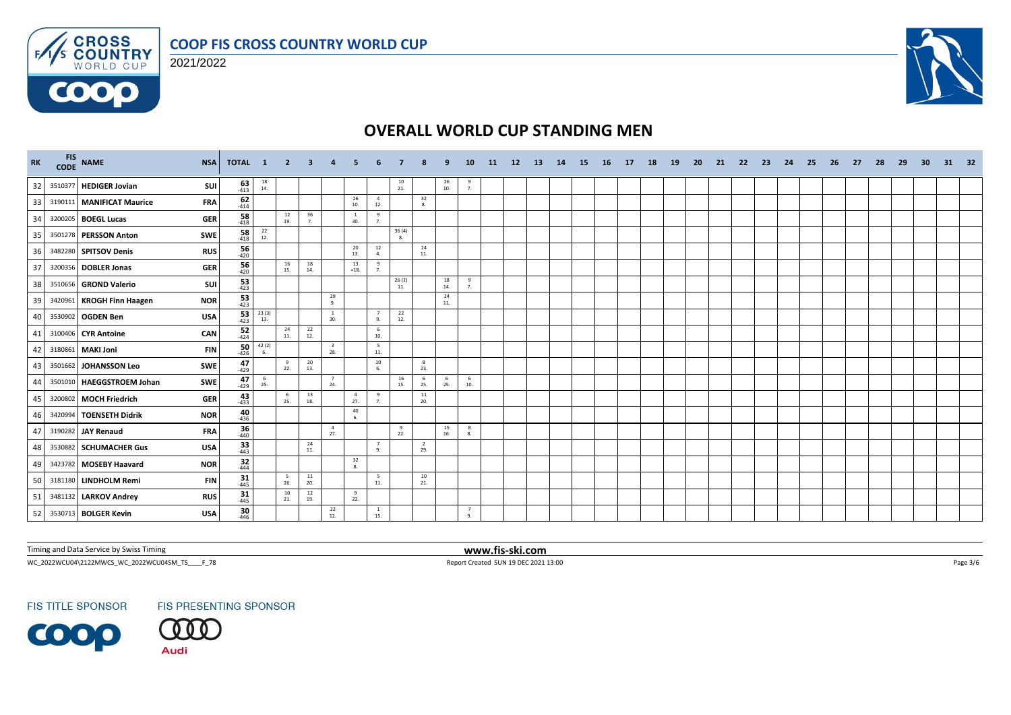



 $F/1/s$ 

6000



# **OVERALL WORLD CUP STANDING MEN**

| <b>RK</b> | CODE    | FIS NAME                             | <b>NSA</b>                        | TOTAL 1                                  | $\overline{\mathbf{2}}$ | -3                                       |                                |                       |                                  |                 |                       |                                         | 10                  | 11 | 12 <sup>2</sup> | -13 | 14 | -15 | - 16 | - 17 | 18 | <b>19</b> | -20 | -21 | -22 | -23 | 24 | -25 | -26 | -27 | -28 | -29 | 30 | 31 | 32 |
|-----------|---------|--------------------------------------|-----------------------------------|------------------------------------------|-------------------------|------------------------------------------|--------------------------------|-----------------------|----------------------------------|-----------------|-----------------------|-----------------------------------------|---------------------|----|-----------------|-----|----|-----|------|------|----|-----------|-----|-----|-----|-----|----|-----|-----|-----|-----|-----|----|----|----|
| 32        | 3510377 | <b>HEDIGER Jovian</b>                | $63$ <sub>413</sub><br>SUI        | $\begin{array}{c} 18 \\ 14. \end{array}$ |                         |                                          |                                |                       |                                  | $\frac{10}{21}$ |                       | $\begin{array}{c} 26 \\ 10 \end{array}$ | - 9<br>7.           |    |                 |     |    |     |      |      |    |           |     |     |     |     |    |     |     |     |     |     |    |    |    |
| 33        |         | 3190111 MANIFICAT Maurice            | $62$<br>$414$<br><b>FRA</b>       |                                          |                         |                                          |                                | 26<br>10.             | $\overline{4}$<br>12.            |                 | 32<br>8.              |                                         |                     |    |                 |     |    |     |      |      |    |           |     |     |     |     |    |     |     |     |     |     |    |    |    |
| 34        |         | 3200205 BOEGL Lucas                  | $\frac{58}{418}$<br><b>GER</b>    |                                          | 12<br>19.               | 36<br>7.                                 |                                | <sup>1</sup><br>30.   | 9<br>7 <sub>1</sub>              |                 |                       |                                         |                     |    |                 |     |    |     |      |      |    |           |     |     |     |     |    |     |     |     |     |     |    |    |    |
| 35        |         | 3501278 PERSSON Anton                | $\frac{58}{418}$<br>SWE           | $^{22}_{12}$                             |                         |                                          |                                |                       |                                  | 36(4)<br>8.     |                       |                                         |                     |    |                 |     |    |     |      |      |    |           |     |     |     |     |    |     |     |     |     |     |    |    |    |
| 36        |         | 3482280 SPITSOV Denis                | $\frac{56}{420}$<br><b>RUS</b>    |                                          |                         |                                          |                                | 20<br>13.             | 12<br>4.                         |                 | 24<br>11.             |                                         |                     |    |                 |     |    |     |      |      |    |           |     |     |     |     |    |     |     |     |     |     |    |    |    |
| 37        |         | 3200356 DOBLER Jonas                 | $\frac{56}{420}$<br><b>GER</b>    |                                          | 16<br>15.               | 18<br>14.                                |                                | 13<br>$=18.$          | 9<br>7 <sub>1</sub>              |                 |                       |                                         |                     |    |                 |     |    |     |      |      |    |           |     |     |     |     |    |     |     |     |     |     |    |    |    |
| 38        |         | 3510656 GROND Valerio                | $\frac{53}{423}$<br>SUI           |                                          |                         |                                          |                                |                       |                                  | 26(2)<br>11.    |                       | 18<br>14.                               | 9<br>7.             |    |                 |     |    |     |      |      |    |           |     |     |     |     |    |     |     |     |     |     |    |    |    |
| 39        |         | 3420961 KROGH Finn Haagen            | $\frac{53}{423}$<br><b>NOR</b>    |                                          |                         |                                          | 29<br>9.                       |                       |                                  |                 |                       | 24<br>11.                               |                     |    |                 |     |    |     |      |      |    |           |     |     |     |     |    |     |     |     |     |     |    |    |    |
| 40        |         | 3530902 OGDEN Ben<br><b>USA</b>      | 53<br>$-423$                      | 23(3)<br>13.                             |                         |                                          | $\frac{1}{30}$                 |                       | 7<br>Q                           | 22<br>12.       |                       |                                         |                     |    |                 |     |    |     |      |      |    |           |     |     |     |     |    |     |     |     |     |     |    |    |    |
| 41        |         | 3100406 CYR Antoine                  | $52 - 424$<br>CAN                 |                                          | 24<br>11.               | $\begin{array}{c} 22 \\ 12. \end{array}$ |                                |                       | 6<br>10.                         |                 |                       |                                         |                     |    |                 |     |    |     |      |      |    |           |     |     |     |     |    |     |     |     |     |     |    |    |    |
| 42        |         | 3180861 MAKI Joni                    | $\frac{50}{426}$<br><b>FIN</b>    | $42(2)$<br>6.                            |                         |                                          | $\overline{\mathbf{3}}$<br>28. |                       | 5<br>11.                         |                 |                       |                                         |                     |    |                 |     |    |     |      |      |    |           |     |     |     |     |    |     |     |     |     |     |    |    |    |
| 43        |         | 3501662 JOHANSSON Leo                | $47$<br>$429$<br>SWE              |                                          | 9<br>22.                | 20<br>13.                                |                                |                       | 10<br>6.                         |                 | 8<br>23.              |                                         |                     |    |                 |     |    |     |      |      |    |           |     |     |     |     |    |     |     |     |     |     |    |    |    |
| 44        |         | 3501010 HAEGGSTROEM Johan            | $47$<br>$429$<br>SWE              | $\begin{array}{c} 6 \\ 25. \end{array}$  |                         |                                          | $\overline{7}$<br>24.          |                       |                                  | 16<br>15.       | 6<br>25.              | - 6<br>25.                              | 6<br>10.            |    |                 |     |    |     |      |      |    |           |     |     |     |     |    |     |     |     |     |     |    |    |    |
| 45        |         | 3200802 MOCH Friedrich               | 43 <sub>433</sub><br><b>GER</b>   |                                          | 6<br>25.                | 13<br>18.                                |                                | $\overline{4}$<br>27. | 9<br>7 <sub>1</sub>              |                 | 11<br>20.             |                                         |                     |    |                 |     |    |     |      |      |    |           |     |     |     |     |    |     |     |     |     |     |    |    |    |
| 46        |         | 3420994   TOENSETH Didrik            | $\frac{40}{436}$<br><b>NOR</b>    |                                          |                         |                                          |                                | 40<br>6.              |                                  |                 |                       |                                         |                     |    |                 |     |    |     |      |      |    |           |     |     |     |     |    |     |     |     |     |     |    |    |    |
| 47        |         | 3190282 JAY Renaud                   | $\frac{36}{440}$<br><b>FRA</b>    |                                          |                         |                                          | $\overline{4}$<br>27.          |                       |                                  | 9<br>22.        |                       | 15<br>16.                               | $_{\rm 8}$<br>8.    |    |                 |     |    |     |      |      |    |           |     |     |     |     |    |     |     |     |     |     |    |    |    |
| 48        |         | 3530882 SCHUMACHER Gus<br><b>USA</b> | $\frac{33}{443}$                  |                                          |                         | 24<br>11.                                |                                |                       | $\overline{7}$<br>9 <sub>1</sub> |                 | $\overline{2}$<br>29. |                                         |                     |    |                 |     |    |     |      |      |    |           |     |     |     |     |    |     |     |     |     |     |    |    |    |
| 49        |         | <b>NOR</b><br>3423782 MOSEBY Haavard | $32$<br>-444                      |                                          |                         |                                          |                                | 32<br>$\mathbf{R}$    |                                  |                 |                       |                                         |                     |    |                 |     |    |     |      |      |    |           |     |     |     |     |    |     |     |     |     |     |    |    |    |
| 50        |         | 3181180 LINDHOLM Remi                | $31 - 445$<br><b>FIN</b>          |                                          | 5<br>26.                | 11<br>20.                                |                                |                       | - 5<br>11.                       |                 | 10<br>21.             |                                         |                     |    |                 |     |    |     |      |      |    |           |     |     |     |     |    |     |     |     |     |     |    |    |    |
| 51        |         | 3481132 LARKOV Andrey                | $31$ <sub>445</sub><br><b>RUS</b> |                                          | 10<br>21.               | 12<br>19.                                |                                | 9<br>22.              |                                  |                 |                       |                                         |                     |    |                 |     |    |     |      |      |    |           |     |     |     |     |    |     |     |     |     |     |    |    |    |
| 52        |         | 3530713 BOLGER Kevin<br><b>USA</b>   | $\frac{30}{446}$                  |                                          |                         |                                          | 22<br>12.                      |                       | $\overline{1}$<br>15.            |                 |                       |                                         | $\overline{7}$<br>q |    |                 |     |    |     |      |      |    |           |     |     |     |     |    |     |     |     |     |     |    |    |    |

Timing and Data Service by Swiss Timing **www.fis-ski.com**

WC\_2022WCU04\2122MWCS\_WC\_2022WCU04SM\_TS\_\_\_\_F\_78 Report Created SUN 19 DEC 2021 13:00 Page 3/6

**FIS TITLE SPONSOR** 

FIS PRESENTING SPONSOR

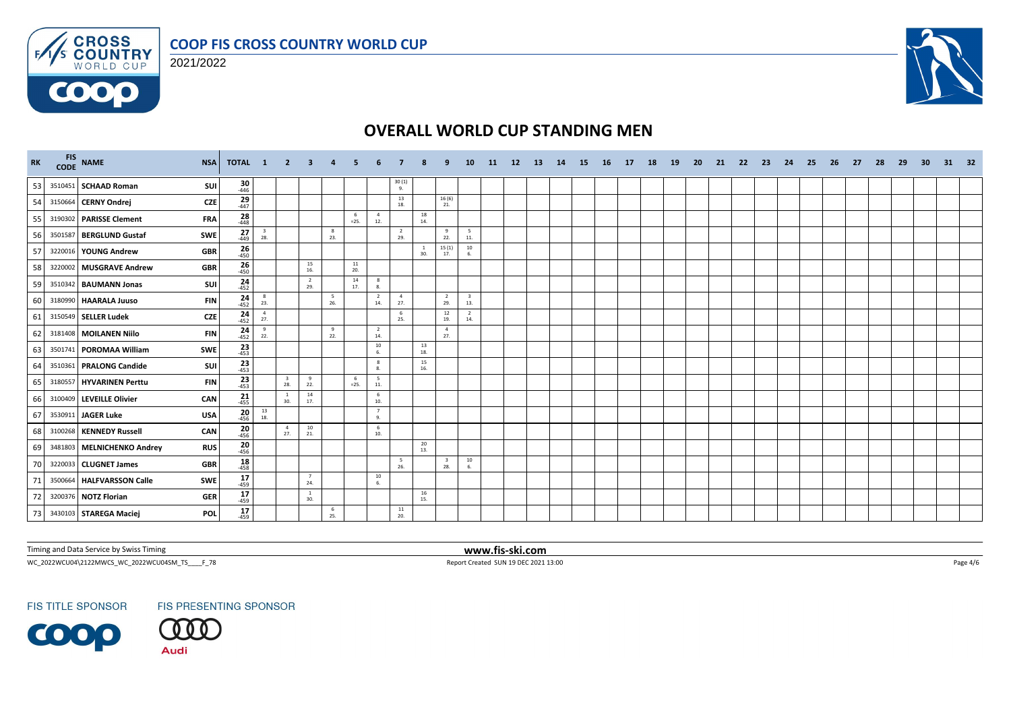



 $F/1/s$ 

6000



# **OVERALL WORLD CUP STANDING MEN**

| RK |         | FIS NAME<br><b>NSA</b>                   | <b>TOTAL</b>        | $\blacksquare$                           | $\mathbf{2}$                   | -3                    |          |               |                        |                       |           |                       | 10                                      | -11 | <b>12</b> | -13 | 14 | -15 | - 16 | 17 | 18 | <b>19</b> | -20 | -21 | -22 | - 23 | -24 | - 25 | -26 | -27 | 28 | -29 | -30 | 31 | 32 |
|----|---------|------------------------------------------|---------------------|------------------------------------------|--------------------------------|-----------------------|----------|---------------|------------------------|-----------------------|-----------|-----------------------|-----------------------------------------|-----|-----------|-----|----|-----|------|----|----|-----------|-----|-----|-----|------|-----|------|-----|-----|----|-----|-----|----|----|
| 53 |         | 3510451 SCHAAD Roman<br>SUI              | $\frac{30}{446}$    |                                          |                                |                       |          |               |                        | $\frac{30(1)}{9}$     |           |                       |                                         |     |           |     |    |     |      |    |    |           |     |     |     |      |     |      |     |     |    |     |     |    |    |
| 54 |         | 3150664 CERNY Ondrej<br><b>CZE</b>       | $^{29}_{447}$       |                                          |                                |                       |          |               |                        | 13<br>18.             |           | 16(6)<br>21.          |                                         |     |           |     |    |     |      |    |    |           |     |     |     |      |     |      |     |     |    |     |     |    |    |
| 55 |         | 3190302 PARISSE Clement<br><b>FRA</b>    | $\frac{28}{448}$    |                                          |                                |                       |          | -6<br>$=25.$  | $\overline{4}$<br>12.  |                       | 18<br>14. |                       |                                         |     |           |     |    |     |      |    |    |           |     |     |     |      |     |      |     |     |    |     |     |    |    |
| 56 | 3501587 | <b>BERGLUND Gustaf</b><br><b>SWE</b>     | $^{27}_{449}$       | $\frac{3}{28}$                           |                                |                       | 8<br>23. |               |                        | $\overline{2}$<br>29. |           | 9<br>22.              | $\begin{array}{c} 5 \\ 11. \end{array}$ |     |           |     |    |     |      |    |    |           |     |     |     |      |     |      |     |     |    |     |     |    |    |
| 57 |         | <b>GBR</b><br>3220016 YOUNG Andrew       | $26 - 450$          |                                          |                                |                       |          |               |                        |                       | -1<br>30. | 15(1)<br>17.          | 10<br>6.                                |     |           |     |    |     |      |    |    |           |     |     |     |      |     |      |     |     |    |     |     |    |    |
| 58 |         | 3220002 MUSGRAVE Andrew<br><b>GBR</b>    | $\frac{26}{450}$    |                                          |                                | 15<br>16.             |          | 11<br>20.     |                        |                       |           |                       |                                         |     |           |     |    |     |      |    |    |           |     |     |     |      |     |      |     |     |    |     |     |    |    |
| 59 |         | 3510342 BAUMANN Jonas<br><b>SUI</b>      | $24 - 452$          |                                          |                                | $\overline{2}$<br>29. |          | 14<br>17.     | 8<br>8.                |                       |           |                       |                                         |     |           |     |    |     |      |    |    |           |     |     |     |      |     |      |     |     |    |     |     |    |    |
| 60 |         | 3180990 HAARALA Juuso<br><b>FIN</b>      | $24 - 452$          | 8<br>23.                                 |                                |                       | 5<br>26. |               | $\overline{2}$<br>14.  | $\overline{4}$<br>27. |           | $\overline{2}$<br>29. | $\overline{\mathbf{3}}$<br>13.          |     |           |     |    |     |      |    |    |           |     |     |     |      |     |      |     |     |    |     |     |    |    |
| 61 |         | <b>CZE</b><br>3150549 SELLER Ludek       | 24<br>$-452$        | $\overline{4}$<br>27.                    |                                |                       |          |               |                        | 6<br>25.              |           | 12<br>19.             | $\overline{2}$<br>14.                   |     |           |     |    |     |      |    |    |           |     |     |     |      |     |      |     |     |    |     |     |    |    |
| 62 |         | 3181408 MOILANEN Niilo<br><b>FIN</b>     | $24 - 452$          | 9<br>22.                                 |                                |                       | 9<br>22. |               | $\overline{2}$<br>14.  |                       |           | $\overline{4}$<br>27. |                                         |     |           |     |    |     |      |    |    |           |     |     |     |      |     |      |     |     |    |     |     |    |    |
| 63 |         | 3501741 POROMAA William<br><b>SWE</b>    | $\frac{23}{453}$    |                                          |                                |                       |          |               | 10<br>6.               |                       | 13<br>18. |                       |                                         |     |           |     |    |     |      |    |    |           |     |     |     |      |     |      |     |     |    |     |     |    |    |
| 64 |         | SUI<br>3510361 PRALONG Candide           | $\frac{23}{453}$    |                                          |                                |                       |          |               | 8<br>8.                |                       | 15<br>16. |                       |                                         |     |           |     |    |     |      |    |    |           |     |     |     |      |     |      |     |     |    |     |     |    |    |
| 65 |         | 3180557 HYVARINEN Perttu<br><b>FIN</b>   | $23$ <sub>453</sub> |                                          | $\overline{\mathbf{3}}$<br>28. | 9<br>22.              |          | - 6<br>$=25.$ | $5\overline{5}$<br>11. |                       |           |                       |                                         |     |           |     |    |     |      |    |    |           |     |     |     |      |     |      |     |     |    |     |     |    |    |
| 66 |         | 3100409 LEVEILLE Olivier<br>CAN          | $21 - 455$          |                                          | $\mathbf{1}$<br>30.            | 14<br>17.             |          |               | 6<br>10.               |                       |           |                       |                                         |     |           |     |    |     |      |    |    |           |     |     |     |      |     |      |     |     |    |     |     |    |    |
| 67 |         | 3530911 JAGER Luke<br><b>USA</b>         | $\frac{20}{456}$    | $\begin{array}{c} 13 \\ 18. \end{array}$ |                                |                       |          |               | 7<br>9.                |                       |           |                       |                                         |     |           |     |    |     |      |    |    |           |     |     |     |      |     |      |     |     |    |     |     |    |    |
| 68 |         | 3100268 KENNEDY Russell<br>CAN           | $20_{456}$          |                                          | $\overline{4}$<br>27.          | 10<br>21.             |          |               | 6<br>10.               |                       |           |                       |                                         |     |           |     |    |     |      |    |    |           |     |     |     |      |     |      |     |     |    |     |     |    |    |
| 69 |         | 3481803 MELNICHENKO Andrey<br><b>RUS</b> | $20 - 456$          |                                          |                                |                       |          |               |                        |                       | 20<br>13. |                       |                                         |     |           |     |    |     |      |    |    |           |     |     |     |      |     |      |     |     |    |     |     |    |    |
| 70 |         | 3220033 CLUGNET James<br><b>GBR</b>      | 18<br>$-458$        |                                          |                                |                       |          |               |                        | - 5<br>26.            |           | -3<br>28.             | $\frac{10}{6}$                          |     |           |     |    |     |      |    |    |           |     |     |     |      |     |      |     |     |    |     |     |    |    |
| 71 |         | 3500664 HALFVARSSON Calle<br><b>SWE</b>  | $17 - 459$          |                                          |                                | $\overline{7}$<br>24. |          |               | $10\,$<br>6.           |                       |           |                       |                                         |     |           |     |    |     |      |    |    |           |     |     |     |      |     |      |     |     |    |     |     |    |    |
| 72 |         | 3200376 NOTZ Florian<br><b>GER</b>       | $17_{459}$          |                                          |                                | <sup>1</sup><br>30.   |          |               |                        |                       | 16<br>15. |                       |                                         |     |           |     |    |     |      |    |    |           |     |     |     |      |     |      |     |     |    |     |     |    |    |
| 73 |         | 3430103 STAREGA Maciej<br>POL            | 17<br>$-459$        |                                          |                                |                       | 6<br>25. |               |                        | 11<br>20.             |           |                       |                                         |     |           |     |    |     |      |    |    |           |     |     |     |      |     |      |     |     |    |     |     |    |    |

Timing and Data Service by Swiss Timing **www.fis-ski.com**

WC\_2022WCU04\2122MWCS\_WC\_2022WCU04SM\_TS\_\_\_\_F\_78 Report Created SUN 19 DEC 2021 13:00 Page 4/6

**FIS TITLE SPONSOR** 

FIS PRESENTING SPONSOR

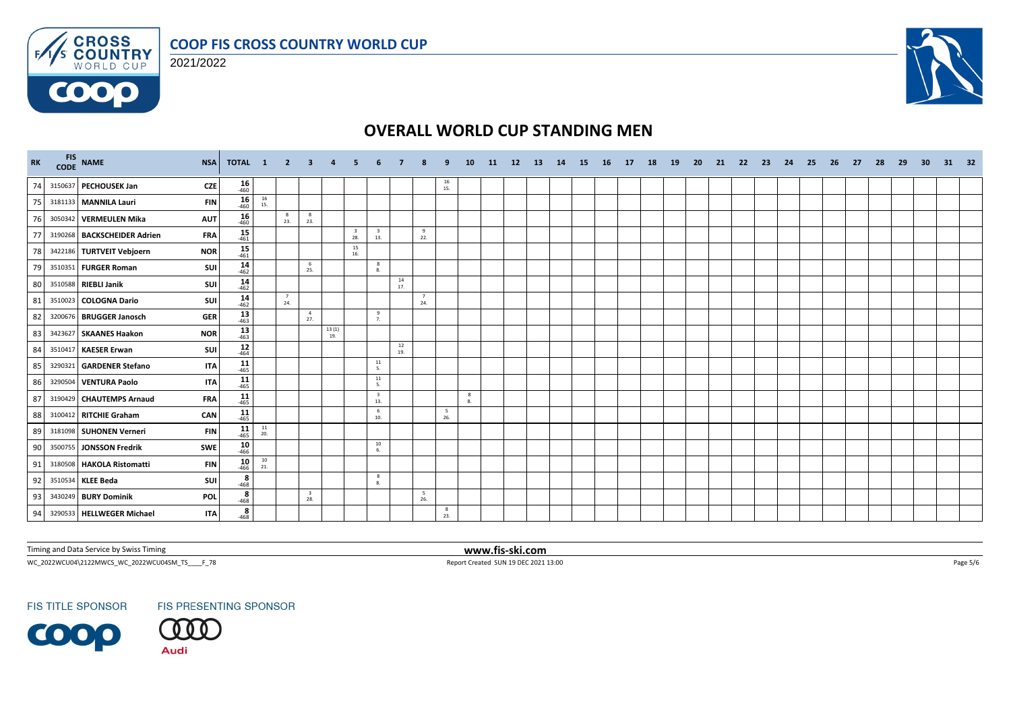





# **OVERALL WORLD CUP STANDING MEN**

| RK |         | FIS NAME<br><b>NSA</b>                    | TOTAL 1          |                                          | $\overline{2}$                  | - 3                            | $\overline{4}$                               | -5                             |                                |               |                        |           | 10      | <b>11</b> | 12 | <b>13</b> | 14 | <b>15</b> | <b>16</b> | 17 | <b>18</b> | 19 | 20 | 21 | - 22 | - 23 | 24 | - 25 | 26 | -27 | 28 | 29 | 30 | 31 | 32 |
|----|---------|-------------------------------------------|------------------|------------------------------------------|---------------------------------|--------------------------------|----------------------------------------------|--------------------------------|--------------------------------|---------------|------------------------|-----------|---------|-----------|----|-----------|----|-----------|-----------|----|-----------|----|----|----|------|------|----|------|----|-----|----|----|----|----|----|
| 74 |         | 3150637 PECHOUSEK Jan<br><b>CZE</b>       | $16 \over 460$   |                                          |                                 |                                |                                              |                                |                                |               |                        | 16<br>15. |         |           |    |           |    |           |           |    |           |    |    |    |      |      |    |      |    |     |    |    |    |    |    |
| 75 |         | 3181133 MANNILA Lauri<br><b>FIN</b>       | $16 \over 460$   | $\begin{array}{c} 16 \\ 15. \end{array}$ |                                 |                                |                                              |                                |                                |               |                        |           |         |           |    |           |    |           |           |    |           |    |    |    |      |      |    |      |    |     |    |    |    |    |    |
| 76 |         | 3050342 VERMEULEN Mika<br><b>AUT</b>      | 16<br>$-460$     |                                          | $\overline{\phantom{a}}$<br>23. | 8<br>23.                       |                                              |                                |                                |               |                        |           |         |           |    |           |    |           |           |    |           |    |    |    |      |      |    |      |    |     |    |    |    |    |    |
| 77 |         | 3190268 BACKSCHEIDER Adrien<br><b>FRA</b> | 15<br>$-461$     |                                          |                                 |                                |                                              | $\overline{\mathbf{3}}$<br>28. | $\overline{\mathbf{3}}$<br>13. |               | 9<br>22.               |           |         |           |    |           |    |           |           |    |           |    |    |    |      |      |    |      |    |     |    |    |    |    |    |
| 78 |         | <b>NOR</b><br>3422186 TURTVEIT Vebjoern   | $15 - 461$       |                                          |                                 |                                |                                              | 15<br>16.                      |                                |               |                        |           |         |           |    |           |    |           |           |    |           |    |    |    |      |      |    |      |    |     |    |    |    |    |    |
| 79 |         | 3510351 FURGER Roman<br>SUI               | $14 \over 462$   |                                          |                                 | - 6<br>25.                     |                                              |                                | 8<br>8.                        |               |                        |           |         |           |    |           |    |           |           |    |           |    |    |    |      |      |    |      |    |     |    |    |    |    |    |
| 80 |         | 3510588 RIEBLI Janik<br>SUI               | $14 \over 462$   |                                          |                                 |                                |                                              |                                |                                | $14\,$<br>17. |                        |           |         |           |    |           |    |           |           |    |           |    |    |    |      |      |    |      |    |     |    |    |    |    |    |
| 81 |         | <b>SUI</b><br>3510023 COLOGNA Dario       | $14 \over 462$   |                                          | 7<br>24.                        |                                |                                              |                                |                                |               | $\overline{7}$<br>24.  |           |         |           |    |           |    |           |           |    |           |    |    |    |      |      |    |      |    |     |    |    |    |    |    |
| 82 |         | 3200676 BRUGGER Janosch<br><b>GER</b>     | $13 \over 463$   |                                          |                                 | $\overline{4}$<br>27.          |                                              |                                | 9<br>7.                        |               |                        |           |         |           |    |           |    |           |           |    |           |    |    |    |      |      |    |      |    |     |    |    |    |    |    |
| 83 |         | 3423627 SKAANES Haakon<br><b>NOR</b>      | $13 - 463$       |                                          |                                 |                                | $\begin{array}{c} 13\ (1)\\ 19. \end{array}$ |                                |                                |               |                        |           |         |           |    |           |    |           |           |    |           |    |    |    |      |      |    |      |    |     |    |    |    |    |    |
| 84 | 3510417 | <b>KAESER Erwan</b><br><b>SUI</b>         | $\frac{12}{464}$ |                                          |                                 |                                |                                              |                                |                                | 12<br>19.     |                        |           |         |           |    |           |    |           |           |    |           |    |    |    |      |      |    |      |    |     |    |    |    |    |    |
| 85 |         | 3290321 GARDENER Stefano<br><b>ITA</b>    | $11$<br>$465$    |                                          |                                 |                                |                                              |                                | 11<br>5.                       |               |                        |           |         |           |    |           |    |           |           |    |           |    |    |    |      |      |    |      |    |     |    |    |    |    |    |
| 86 |         | 3290504 VENTURA Paolo<br><b>ITA</b>       | $11$<br>-465     |                                          |                                 |                                |                                              |                                | 11<br>5.                       |               |                        |           |         |           |    |           |    |           |           |    |           |    |    |    |      |      |    |      |    |     |    |    |    |    |    |
| 87 |         | 3190429 CHAUTEMPS Arnaud<br><b>FRA</b>    | $11 - 465$       |                                          |                                 |                                |                                              |                                | $\overline{\mathbf{3}}$<br>13. |               |                        |           | 8<br>8. |           |    |           |    |           |           |    |           |    |    |    |      |      |    |      |    |     |    |    |    |    |    |
| 88 |         | CAN<br>3100412 RITCHIE Graham             | $11$<br>$465$    |                                          |                                 |                                |                                              |                                | 6<br>10.                       |               |                        | 5<br>26.  |         |           |    |           |    |           |           |    |           |    |    |    |      |      |    |      |    |     |    |    |    |    |    |
| 89 |         | 3181098 SUHONEN Verneri<br><b>FIN</b>     | $11$<br>$465$    | $\frac{11}{20}$                          |                                 |                                |                                              |                                |                                |               |                        |           |         |           |    |           |    |           |           |    |           |    |    |    |      |      |    |      |    |     |    |    |    |    |    |
| 90 |         | 3500755 JONSSON Fredrik<br><b>SWE</b>     | $10^{46}$        |                                          |                                 |                                |                                              |                                | 10<br>6.                       |               |                        |           |         |           |    |           |    |           |           |    |           |    |    |    |      |      |    |      |    |     |    |    |    |    |    |
| 91 |         | 3180508 HAKOLA Ristomatti<br><b>FIN</b>   | 10<br>$-466$     | $\begin{array}{c} 10 \\ 21. \end{array}$ |                                 |                                |                                              |                                |                                |               |                        |           |         |           |    |           |    |           |           |    |           |    |    |    |      |      |    |      |    |     |    |    |    |    |    |
| 92 |         | 3510534 KLEE Beda<br><b>SUI</b>           | $\frac{8}{-468}$ |                                          |                                 |                                |                                              |                                | - 8<br>8.                      |               |                        |           |         |           |    |           |    |           |           |    |           |    |    |    |      |      |    |      |    |     |    |    |    |    |    |
| 93 |         | 3430249 BURY Dominik<br><b>POL</b>        | $rac{8}{468}$    |                                          |                                 | $\overline{\mathbf{3}}$<br>28. |                                              |                                |                                |               | $5\overline{5}$<br>26. |           |         |           |    |           |    |           |           |    |           |    |    |    |      |      |    |      |    |     |    |    |    |    |    |
| 94 |         | 3290533 HELLWEGER Michael<br><b>ITA</b>   | $rac{8}{-468}$   |                                          |                                 |                                |                                              |                                |                                |               |                        | 8<br>23.  |         |           |    |           |    |           |           |    |           |    |    |    |      |      |    |      |    |     |    |    |    |    |    |

Timing and Data Service by Swiss Timing **www.fis-ski.com**

WC\_2022WCU04\2122MWCS\_WC\_2022WCU04SM\_TS\_\_\_\_F\_78 <br>
Report Created SUN 19 DEC 2021 13:00

**FIS TITLE SPONSOR**